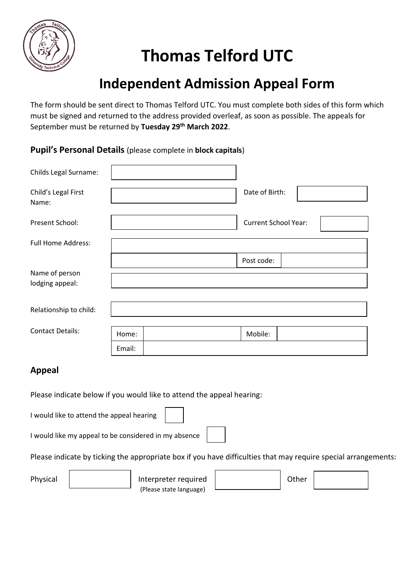

# **Thomas Telford UTC**

## **Independent Admission Appeal Form**

The form should be sent direct to Thomas Telford UTC. You must complete both sides of this form which must be signed and returned to the address provided overleaf, as soon as possible. The appeals for September must be returned by **Tuesday 29th March 2022**.

#### **Pupil's Personal Details** (please complete in **block capitals**)

| Childs Legal Surname:             |        |  |                             |  |
|-----------------------------------|--------|--|-----------------------------|--|
| Child's Legal First<br>Name:      |        |  | Date of Birth:              |  |
| Present School:                   |        |  | <b>Current School Year:</b> |  |
| <b>Full Home Address:</b>         |        |  |                             |  |
|                                   |        |  | Post code:                  |  |
| Name of person<br>lodging appeal: |        |  |                             |  |
| Relationship to child:            |        |  |                             |  |
| <b>Contact Details:</b>           | Home:  |  | Mobile:                     |  |
|                                   | Email: |  |                             |  |

#### **Appeal**

Please indicate below if you would like to attend the appeal hearing:

I would like to attend the appeal hearing

I would like my appeal to be considered in my absence

Please indicate by ticking the appropriate box if you have difficulties that may require special arrangements:

Physical | Interpreter required | Other (Please state language)